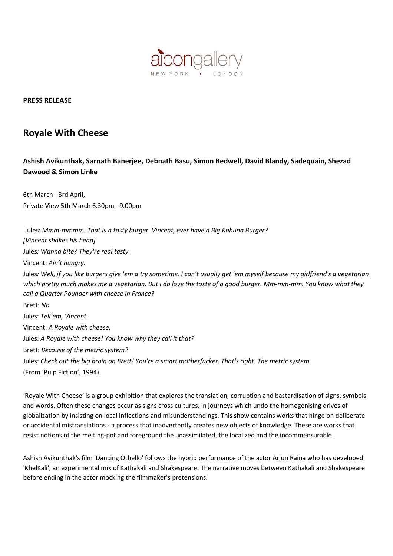

## PRESS RELEASE

## Royale With Cheese

## Ashish Avikunthak, Sarnath Banerjee, Debnath Basu, Simon Bedwell, David Blandy, Sadequain, Shezad Dawood & Simon Linke

6th March - 3rd April, Private View 5th March 6.30pm - 9.00pm

 Jules: Mmm-mmmm. That is a tasty burger. Vincent, ever have a Big Kahuna Burger? [Vincent shakes his head] Jules: Wanna bite? They're real tasty. Vincent: Ain't hungry. Jules: Well, if you like burgers give 'em a try sometime. I can't usually get 'em myself because my girlfriend's a vegetarian which pretty much makes me a vegetarian. But I do love the taste of a good burger. Mm-mm-mm. You know what they call a Quarter Pounder with cheese in France? Brett: No. Jules: Tell'em, Vincent. Vincent: A Royale with cheese. Jules: A Royale with cheese! You know why they call it that? Brett: Because of the metric system? Jules: Check out the big brain on Brett! You're a smart motherfucker. That's right. The metric system. (From 'Pulp Fiction', 1994)

'Royale With Cheese' is a group exhibition that explores the translation, corruption and bastardisation of signs, symbols and words. Often these changes occur as signs cross cultures, in journeys which undo the homogenising drives of globalization by insisting on local inflections and misunderstandings. This show contains works that hinge on deliberate or accidental mistranslations - a process that inadvertently creates new objects of knowledge. These are works that resist notions of the melting-pot and foreground the unassimilated, the localized and the incommensurable.

Ashish Avikunthak's film 'Dancing Othello' follows the hybrid performance of the actor Arjun Raina who has developed 'KhelKali', an experimental mix of Kathakali and Shakespeare. The narrative moves between Kathakali and Shakespeare before ending in the actor mocking the filmmaker's pretensions.